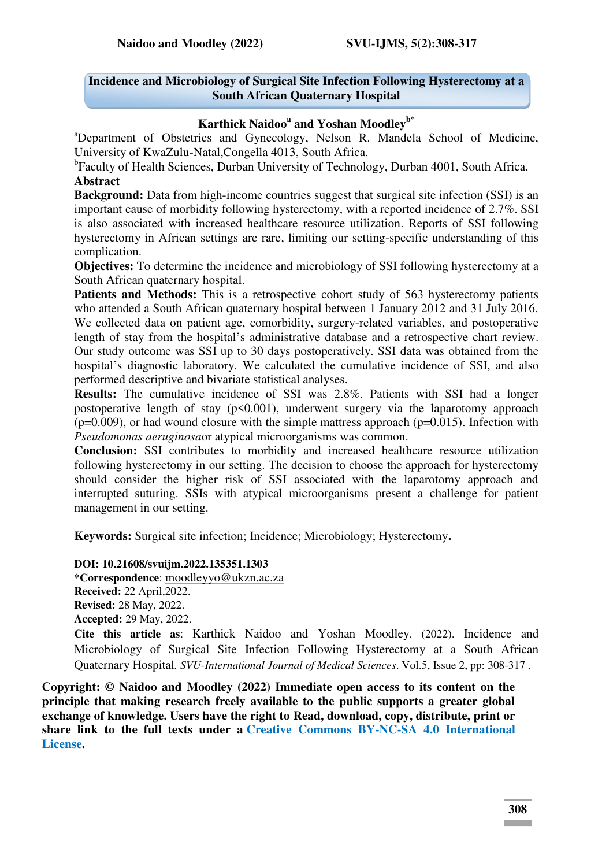#### **Incidence and Microbiology of Surgical Site Infection Following Hysterectomy at a South African Quaternary Hospital**

## **Karthick Naidoo<sup>a</sup> and Yoshan Moodleyb\***

<sup>a</sup>Department of Obstetrics and Gynecology, Nelson R. Mandela School of Medicine, University of KwaZulu-Natal,Congella 4013, South Africa.

<sup>b</sup>Faculty of Health Sciences, Durban University of Technology, Durban 4001, South Africa. **Abstract** 

**Background:** Data from high-income countries suggest that surgical site infection (SSI) is an important cause of morbidity following hysterectomy, with a reported incidence of 2.7%. SSI is also associated with increased healthcare resource utilization. Reports of SSI following hysterectomy in African settings are rare, limiting our setting-specific understanding of this complication.

**Objectives:** To determine the incidence and microbiology of SSI following hysterectomy at a South African quaternary hospital.

Patients and Methods: This is a retrospective cohort study of 563 hysterectomy patients who attended a South African quaternary hospital between 1 January 2012 and 31 July 2016. We collected data on patient age, comorbidity, surgery-related variables, and postoperative length of stay from the hospital's administrative database and a retrospective chart review. Our study outcome was SSI up to 30 days postoperatively. SSI data was obtained from the hospital's diagnostic laboratory. We calculated the cumulative incidence of SSI, and also performed descriptive and bivariate statistical analyses.

**Results:** The cumulative incidence of SSI was 2.8%. Patients with SSI had a longer postoperative length of stay  $(p<0.001)$ , underwent surgery via the laparotomy approach  $(p=0.009)$ , or had wound closure with the simple mattress approach  $(p=0.015)$ . Infection with *Pseudomonas aeruginosa*or atypical microorganisms was common.

**Conclusion:** SSI contributes to morbidity and increased healthcare resource utilization following hysterectomy in our setting. The decision to choose the approach for hysterectomy should consider the higher risk of SSI associated with the laparotomy approach and interrupted suturing. SSIs with atypical microorganisms present a challenge for patient management in our setting.

**Keywords:** Surgical site infection; Incidence; Microbiology; Hysterectomy**.** 

**DOI: 10.21608/svuijm.2022.135351.1303 \*Correspondence**: [moodleyyo@ukzn.ac.za](mailto:moodleyyo@ukzn.ac.za)  **Received:** 22 April,2022. **Revised:** 28 May, 2022. **Accepted:** 29 May, 2022. **Cite this article as**: Karthick Naidoo and Yoshan Moodley. (2022). Incidence and Microbiology of Surgical Site Infection Following Hysterectomy at a South African Quaternary Hospital*. SVU-International Journal of Medical Sciences*. Vol.5, Issue 2, pp: 308-317 .

 **exchange of knowledge. Users have the right to Read, download, copy, distribute, print or Copyright: © Naidoo and Moodley (2022) Immediate open access to its content on the principle that making research freely available to the public supports a greater global share link to the full texts under a [Creative Commons BY-NC-SA 4.0 International](https://creativecommons.org/licenses/by-nc-sa/4.0/)  [License.](https://creativecommons.org/licenses/by-nc-sa/4.0/)**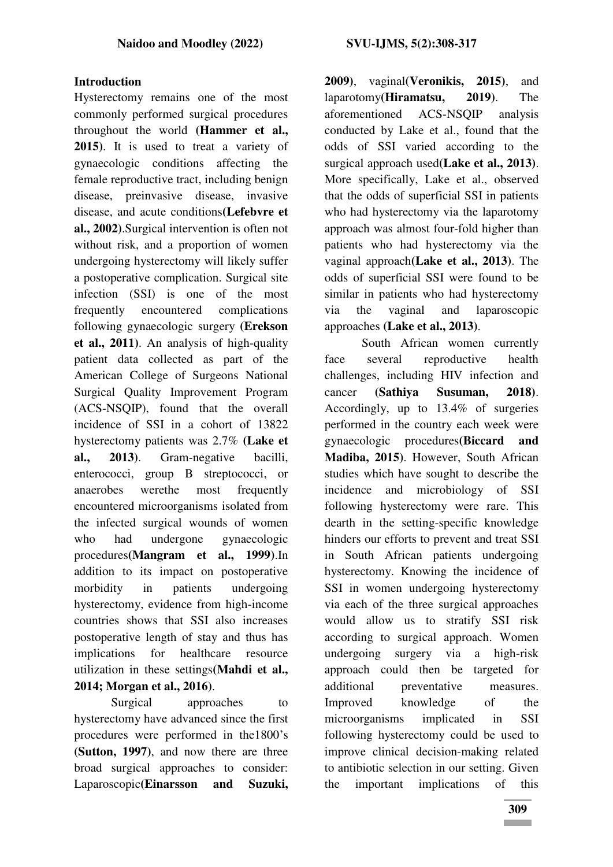## **Introduction**

Hysterectomy remains one of the most commonly performed surgical procedures throughout the world **(Hammer et al., 2015)**. It is used to treat a variety of gynaecologic conditions affecting the female reproductive tract, including benign disease, preinvasive disease, invasive disease, and acute conditions**(Lefebvre et al., 2002)**.Surgical intervention is often not without risk, and a proportion of women undergoing hysterectomy will likely suffer a postoperative complication. Surgical site infection (SSI) is one of the most frequently encountered complications following gynaecologic surgery **(Erekson et al., 2011)**. An analysis of high-quality patient data collected as part of the American College of Surgeons National Surgical Quality Improvement Program (ACS-NSQIP), found that the overall incidence of SSI in a cohort of 13822 hysterectomy patients was 2.7% **(Lake et al., 2013)**. Gram-negative bacilli, enterococci, group B streptococci, or anaerobes werethe most frequently encountered microorganisms isolated from the infected surgical wounds of women who had undergone gynaecologic procedures**(Mangram et al., 1999)**.In addition to its impact on postoperative morbidity in patients undergoing hysterectomy, evidence from high-income countries shows that SSI also increases postoperative length of stay and thus has implications for healthcare resource utilization in these settings**(Mahdi et al., 2014; Morgan et al., 2016)**.

Surgical approaches to hysterectomy have advanced since the first procedures were performed in the1800's **(Sutton, 1997)**, and now there are three broad surgical approaches to consider: Laparoscopic**(Einarsson and Suzuki,**  **2009)**, vaginal**(Veronikis, 2015)**, and laparotomy**(Hiramatsu, 2019)**. The aforementioned ACS-NSQIP analysis conducted by Lake et al., found that the odds of SSI varied according to the surgical approach used**(Lake et al., 2013)**. More specifically, Lake et al., observed that the odds of superficial SSI in patients who had hysterectomy via the laparotomy approach was almost four-fold higher than patients who had hysterectomy via the vaginal approach**(Lake et al., 2013)**. The odds of superficial SSI were found to be similar in patients who had hysterectomy via the vaginal and laparoscopic approaches **(Lake et al., 2013)**.

South African women currently face several reproductive health challenges, including HIV infection and cancer **(Sathiya Susuman, 2018)**. Accordingly, up to 13.4% of surgeries performed in the country each week were gynaecologic procedures**(Biccard and Madiba, 2015)**. However, South African studies which have sought to describe the incidence and microbiology of SSI following hysterectomy were rare. This dearth in the setting-specific knowledge hinders our efforts to prevent and treat SSI in South African patients undergoing hysterectomy. Knowing the incidence of SSI in women undergoing hysterectomy via each of the three surgical approaches would allow us to stratify SSI risk according to surgical approach. Women undergoing surgery via a high-risk approach could then be targeted for additional preventative measures. Improved knowledge of the microorganisms implicated in SSI following hysterectomy could be used to improve clinical decision-making related to antibiotic selection in our setting. Given the important implications of this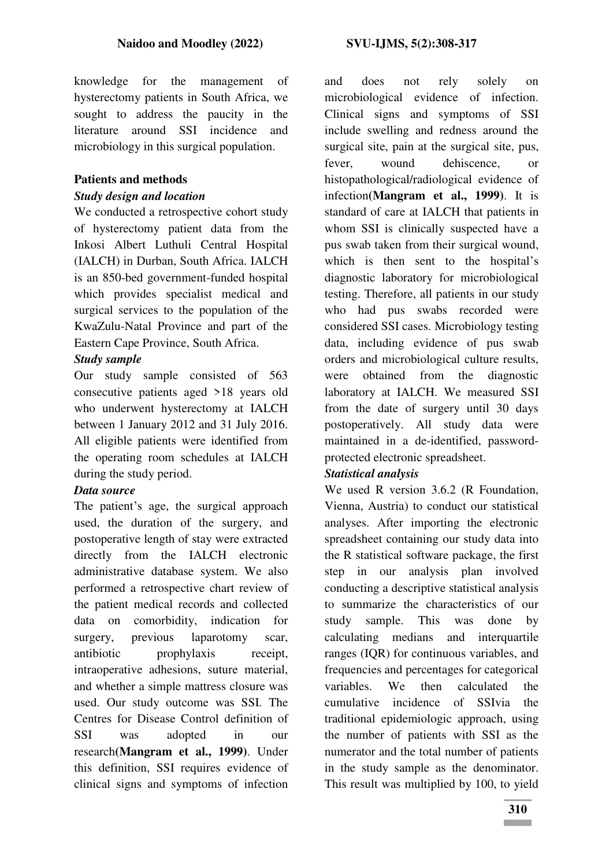knowledge for the management of hysterectomy patients in South Africa, we sought to address the paucity in the literature around SSI incidence and microbiology in this surgical population.

## **Patients and methods**

### *Study design and location*

We conducted a retrospective cohort study of hysterectomy patient data from the Inkosi Albert Luthuli Central Hospital (IALCH) in Durban, South Africa. IALCH is an 850-bed government-funded hospital which provides specialist medical and surgical services to the population of the KwaZulu-Natal Province and part of the Eastern Cape Province, South Africa.

## *Study sample*

Our study sample consisted of 563 consecutive patients aged >18 years old who underwent hysterectomy at IALCH between 1 January 2012 and 31 July 2016. All eligible patients were identified from the operating room schedules at IALCH during the study period.

#### *Data source*

The patient's age, the surgical approach used, the duration of the surgery, and postoperative length of stay were extracted directly from the IALCH electronic administrative database system. We also performed a retrospective chart review of the patient medical records and collected data on comorbidity, indication for surgery, previous laparotomy scar, antibiotic prophylaxis receipt, intraoperative adhesions, suture material, and whether a simple mattress closure was used. Our study outcome was SSI. The Centres for Disease Control definition of SSI was adopted in our research**(Mangram et al., 1999)**. Under this definition, SSI requires evidence of clinical signs and symptoms of infection and does not rely solely on microbiological evidence of infection. Clinical signs and symptoms of SSI include swelling and redness around the surgical site, pain at the surgical site, pus, fever, wound dehiscence, or histopathological/radiological evidence of infection**(Mangram et al., 1999)**. It is standard of care at IALCH that patients in whom SSI is clinically suspected have a pus swab taken from their surgical wound, which is then sent to the hospital's diagnostic laboratory for microbiological testing. Therefore, all patients in our study who had pus swabs recorded were considered SSI cases. Microbiology testing data, including evidence of pus swab orders and microbiological culture results, were obtained from the diagnostic laboratory at IALCH. We measured SSI from the date of surgery until 30 days postoperatively. All study data were maintained in a de-identified, passwordprotected electronic spreadsheet.

# *Statistical analysis*

We used R version 3.6.2 (R Foundation, Vienna, Austria) to conduct our statistical analyses. After importing the electronic spreadsheet containing our study data into the R statistical software package, the first step in our analysis plan involved conducting a descriptive statistical analysis to summarize the characteristics of our study sample. This was done by calculating medians and interquartile ranges (IQR) for continuous variables, and frequencies and percentages for categorical variables. We then calculated the cumulative incidence of SSIvia the traditional epidemiologic approach, using the number of patients with SSI as the numerator and the total number of patients in the study sample as the denominator. This result was multiplied by 100, to yield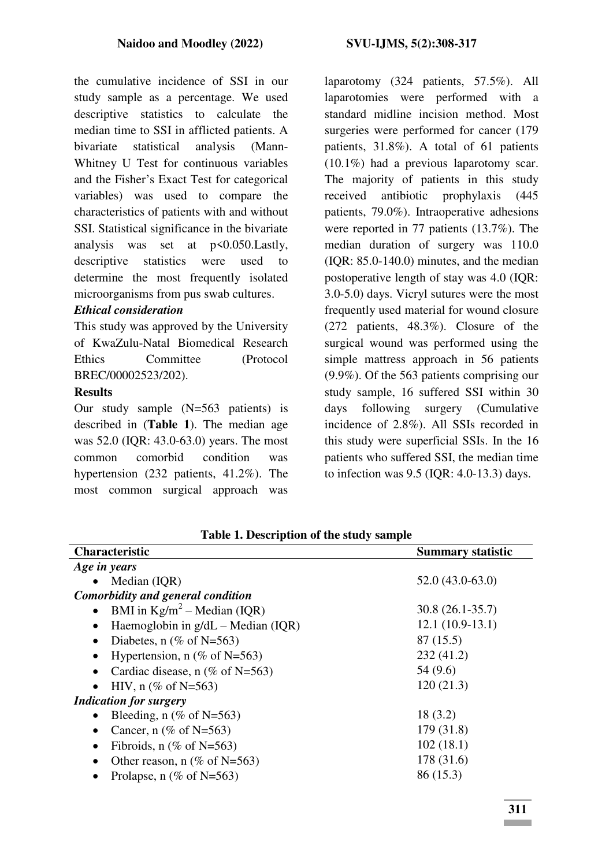the cumulative incidence of SSI in our study sample as a percentage. We used descriptive statistics to calculate the median time to SSI in afflicted patients. A bivariate statistical analysis (Mann-Whitney U Test for continuous variables and the Fisher's Exact Test for categorical variables) was used to compare the characteristics of patients with and without SSI. Statistical significance in the bivariate analysis was set at p<0.050.Lastly, descriptive statistics were used to determine the most frequently isolated microorganisms from pus swab cultures.

#### *Ethical consideration*

This study was approved by the University of KwaZulu-Natal Biomedical Research Ethics Committee (Protocol BREC/00002523/202).

#### **Results**

Our study sample (N=563 patients) is described in (**Table 1**). The median age was 52.0 (IQR: 43.0-63.0) years. The most common comorbid condition was hypertension (232 patients, 41.2%). The most common surgical approach was

laparotomy (324 patients, 57.5%). All laparotomies were performed with a standard midline incision method. Most surgeries were performed for cancer (179 patients, 31.8%). A total of 61 patients (10.1%) had a previous laparotomy scar. The majority of patients in this study received antibiotic prophylaxis (445 patients, 79.0%). Intraoperative adhesions were reported in 77 patients (13.7%). The median duration of surgery was 110.0 (IQR: 85.0-140.0) minutes, and the median postoperative length of stay was 4.0 (IQR: 3.0-5.0) days. Vicryl sutures were the most frequently used material for wound closure (272 patients, 48.3%). Closure of the surgical wound was performed using the simple mattress approach in 56 patients (9.9%). Of the 563 patients comprising our study sample, 16 suffered SSI within 30 days following surgery (Cumulative incidence of 2.8%). All SSIs recorded in this study were superficial SSIs. In the 16 patients who suffered SSI, the median time to infection was 9.5 (IQR: 4.0-13.3) days.

| <b>Characteristic</b>                             | <b>Summary statistic</b> |
|---------------------------------------------------|--------------------------|
| Age in years                                      |                          |
| Median (IQR)                                      | $52.0(43.0-63.0)$        |
| Comorbidity and general condition                 |                          |
| BMI in $Kg/m^2$ – Median (IQR)<br>$\bullet$       | $30.8(26.1-35.7)$        |
| Haemoglobin in $g/dL$ – Median (IQR)<br>$\bullet$ | $12.1(10.9-13.1)$        |
| Diabetes, $n$ (% of N=563)<br>$\bullet$           | 87 (15.5)                |
| Hypertension, $n$ (% of N=563)                    | 232(41.2)                |
| Cardiac disease, $n$ (% of N=563)<br>$\bullet$    | 54 (9.6)                 |
| HIV, n $(\%$ of N=563)                            | 120(21.3)                |
| <b>Indication for surgery</b>                     |                          |
| Bleeding, $n$ (% of N=563)                        | 18(3.2)                  |
| Cancer, $n$ (% of N=563)                          | 179 (31.8)               |
| Fibroids, n $(\%$ of N=563)                       | 102(18.1)                |
| Other reason, n (% of N=563)                      | 178 (31.6)               |
| Prolapse, $n$ (% of N=563)                        | 86 (15.3)                |

**Table 1. Description of the study sample**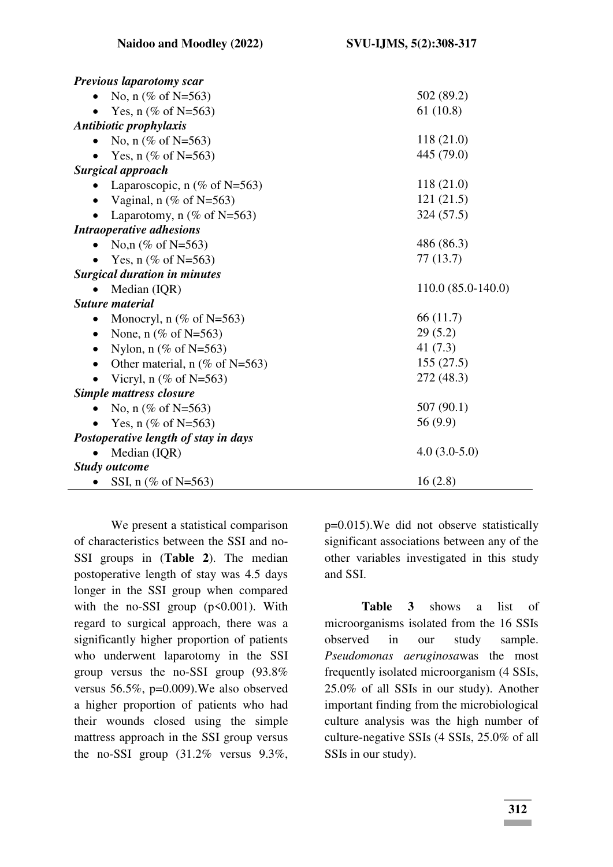*Previous laparotomy scar* 

| 1 гетиня шригонні ясиг               |                        |
|--------------------------------------|------------------------|
| No, n (% of N=563)                   | 502 (89.2)             |
| Yes, $n$ (% of N=563)                | 61(10.8)               |
| Antibiotic prophylaxis               |                        |
| No, n (% of N=563)                   | 118(21.0)              |
| Yes, n $(\%$ of N=563)               | 445 (79.0)             |
| Surgical approach                    |                        |
| Laparoscopic, $n$ (% of N=563)       | 118(21.0)              |
| Vaginal, n (% of N=563)<br>$\bullet$ | 121(21.5)              |
| Laparotomy, $n$ (% of N=563)         | 324(57.5)              |
| <b>Intraoperative adhesions</b>      |                        |
| No,n (% of N=563)                    | 486 (86.3)             |
| Yes, n (% of N=563)                  | 77(13.7)               |
| <b>Surgical duration in minutes</b>  |                        |
| Median (IQR)                         | $110.0 (85.0 - 140.0)$ |
| <b>Suture material</b>               |                        |
| Monocryl, n $(\%$ of N=563)          | 66(11.7)               |
| None, $n$ (% of N=563)<br>$\bullet$  | 29(5.2)                |
| Nylon, $n$ (% of N=563)<br>$\bullet$ | 41(7.3)                |
| Other material, $n$ (% of N=563)     | 155(27.5)              |
| Vicryl, $n$ (% of N=563)             | 272 (48.3)             |
| Simple mattress closure              |                        |
| No, n (% of N=563)                   | 507(90.1)              |
| Yes, n (% of N=563)                  | 56 (9.9)               |
| Postoperative length of stay in days |                        |
| Median (IQR)                         | $4.0(3.0-5.0)$         |
| <b>Study outcome</b>                 |                        |
| SSI, n (% of N=563)                  | 16(2.8)                |
|                                      |                        |

We present a statistical comparison of characteristics between the SSI and no-SSI groups in (**Table 2**). The median postoperative length of stay was 4.5 days longer in the SSI group when compared with the no-SSI group  $(p<0.001)$ . With regard to surgical approach, there was a significantly higher proportion of patients who underwent laparotomy in the SSI group versus the no-SSI group (93.8% versus 56.5%, p=0.009).We also observed a higher proportion of patients who had their wounds closed using the simple mattress approach in the SSI group versus the no-SSI group (31.2% versus 9.3%,

p=0.015).We did not observe statistically significant associations between any of the other variables investigated in this study and SSI.

**Table 3** shows a list of microorganisms isolated from the 16 SSIs observed in our study sample. *Pseudomonas aeruginosa*was the most frequently isolated microorganism (4 SSIs, 25.0% of all SSIs in our study). Another important finding from the microbiological culture analysis was the high number of culture-negative SSIs (4 SSIs, 25.0% of all SSIs in our study).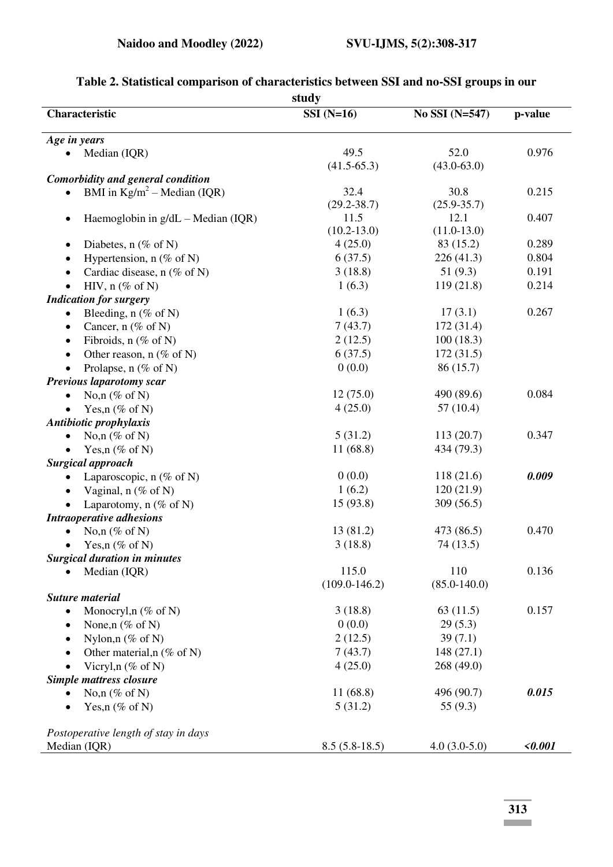| $SSI(N=16)$<br>No SSI (N=547)<br>Characteristic<br>p-value<br>Age in years<br>49.5<br>0.976<br>52.0<br>Median (IQR)<br>$(41.5-65.3)$<br>$(43.0 - 63.0)$<br>Comorbidity and general condition<br>30.8<br>32.4<br>0.215<br>BMI in $Kg/m^2$ – Median (IQR)<br>$(29.2 - 38.7)$<br>$(25.9 - 35.7)$<br>11.5<br>12.1<br>0.407<br>Haemoglobin in $g/dL$ – Median (IQR)<br>$\bullet$<br>$(10.2 - 13.0)$<br>$(11.0-13.0)$<br>0.289<br>4(25.0)<br>83 (15.2)<br>Diabetes, $n$ (% of N)<br>٠<br>6(37.5)<br>226(41.3)<br>0.804<br>Hypertension, $n$ (% of N)<br>$\bullet$<br>51(9.3)<br>0.191<br>3(18.8)<br>Cardiac disease, $n$ (% of N)<br>$\bullet$<br>119 (21.8)<br>0.214<br>1(6.3)<br>HIV, $n$ (% of N)<br><b>Indication for surgery</b><br>0.267<br>1(6.3)<br>17(3.1)<br>Bleeding, $n$ (% of N)<br>$\bullet$<br>7(43.7)<br>Cancer, $n$ (% of N)<br>172(31.4)<br>$\bullet$<br>2(12.5)<br>100(18.3)<br>Fibroids, $n$ (% of N)<br>$\bullet$<br>6(37.5)<br>172(31.5)<br>Other reason, $n$ (% of N)<br>$\bullet$<br>0(0.0)<br>Prolapse, $n$ (% of N)<br>86 (15.7)<br>Previous laparotomy scar<br>0.084<br>12(75.0)<br>490 (89.6)<br>No,n (% of N)<br>$\bullet$<br>4(25.0)<br>57(10.4)<br>Yes, $n \ (\% \ of \ N)$<br>Antibiotic prophylaxis<br>0.347<br>5(31.2)<br>113(20.7)<br>No,n $(\%$ of N)<br>$\bullet$<br>11 (68.8)<br>434 (79.3)<br>Yes, $n \ (\% \ of \ N)$<br>$\bullet$<br>Surgical approach<br>0.009<br>0(0.0)<br>118(21.6)<br>Laparoscopic, $n$ (% of N)<br>120(21.9)<br>1(6.2)<br>Vaginal, $n$ (% of N)<br>$\bullet$<br>15(93.8)<br>309 (56.5)<br>Laparotomy, n (% of N)<br><b>Intraoperative adhesions</b><br>13 (81.2)<br>473 (86.5)<br>0.470<br>No,n (% of N)<br>3(18.8)<br>74(13.5)<br>Yes,n (% of N)<br>$\bullet$<br><b>Surgical duration in minutes</b><br>115.0<br>110<br>0.136<br>Median (IQR)<br>$(109.0 - 146.2)$<br>$(85.0 - 140.0)$<br><b>Suture material</b><br>0.157<br>3(18.8)<br>63(11.5)<br>Monocryl, $n \ (\% \ of \ N)$<br>$\bullet$<br>0(0.0)<br>29(5.3)<br>None, $\mathfrak{n}$ (% of N)<br>$\bullet$<br>2(12.5)<br>39(7.1)<br>Nylon, $\mathfrak{n}$ (% of N)<br>٠<br>7(43.7)<br>148(27.1)<br>Other material, $($ % of N)<br>$\bullet$<br>4(25.0)<br>268 (49.0)<br>Vicryl, $n \ (\% \ of \ N)$<br>$\bullet$<br><b>Simple mattress closure</b><br>No,n $(\%$ of N)<br>11(68.8)<br>496 (90.7)<br>0.015<br>5(31.2)<br>55 $(9.3)$<br>Yes, $n \ (\% \ of \ N)$<br>Postoperative length of stay in days<br>Median (IQR)<br>$8.5(5.8-18.5)$<br>0.001<br>$4.0(3.0-5.0)$ | study |  |  |  |  |
|--------------------------------------------------------------------------------------------------------------------------------------------------------------------------------------------------------------------------------------------------------------------------------------------------------------------------------------------------------------------------------------------------------------------------------------------------------------------------------------------------------------------------------------------------------------------------------------------------------------------------------------------------------------------------------------------------------------------------------------------------------------------------------------------------------------------------------------------------------------------------------------------------------------------------------------------------------------------------------------------------------------------------------------------------------------------------------------------------------------------------------------------------------------------------------------------------------------------------------------------------------------------------------------------------------------------------------------------------------------------------------------------------------------------------------------------------------------------------------------------------------------------------------------------------------------------------------------------------------------------------------------------------------------------------------------------------------------------------------------------------------------------------------------------------------------------------------------------------------------------------------------------------------------------------------------------------------------------------------------------------------------------------------------------------------------------------------------------------------------------------------------------------------------------------------------------------------------------------------------------------------------------------------------------------------------------------------------------------------------------------------------------------------------------------------------------------------------------------------------|-------|--|--|--|--|
|                                                                                                                                                                                                                                                                                                                                                                                                                                                                                                                                                                                                                                                                                                                                                                                                                                                                                                                                                                                                                                                                                                                                                                                                                                                                                                                                                                                                                                                                                                                                                                                                                                                                                                                                                                                                                                                                                                                                                                                                                                                                                                                                                                                                                                                                                                                                                                                                                                                                                      |       |  |  |  |  |
|                                                                                                                                                                                                                                                                                                                                                                                                                                                                                                                                                                                                                                                                                                                                                                                                                                                                                                                                                                                                                                                                                                                                                                                                                                                                                                                                                                                                                                                                                                                                                                                                                                                                                                                                                                                                                                                                                                                                                                                                                                                                                                                                                                                                                                                                                                                                                                                                                                                                                      |       |  |  |  |  |
|                                                                                                                                                                                                                                                                                                                                                                                                                                                                                                                                                                                                                                                                                                                                                                                                                                                                                                                                                                                                                                                                                                                                                                                                                                                                                                                                                                                                                                                                                                                                                                                                                                                                                                                                                                                                                                                                                                                                                                                                                                                                                                                                                                                                                                                                                                                                                                                                                                                                                      |       |  |  |  |  |
|                                                                                                                                                                                                                                                                                                                                                                                                                                                                                                                                                                                                                                                                                                                                                                                                                                                                                                                                                                                                                                                                                                                                                                                                                                                                                                                                                                                                                                                                                                                                                                                                                                                                                                                                                                                                                                                                                                                                                                                                                                                                                                                                                                                                                                                                                                                                                                                                                                                                                      |       |  |  |  |  |
|                                                                                                                                                                                                                                                                                                                                                                                                                                                                                                                                                                                                                                                                                                                                                                                                                                                                                                                                                                                                                                                                                                                                                                                                                                                                                                                                                                                                                                                                                                                                                                                                                                                                                                                                                                                                                                                                                                                                                                                                                                                                                                                                                                                                                                                                                                                                                                                                                                                                                      |       |  |  |  |  |
|                                                                                                                                                                                                                                                                                                                                                                                                                                                                                                                                                                                                                                                                                                                                                                                                                                                                                                                                                                                                                                                                                                                                                                                                                                                                                                                                                                                                                                                                                                                                                                                                                                                                                                                                                                                                                                                                                                                                                                                                                                                                                                                                                                                                                                                                                                                                                                                                                                                                                      |       |  |  |  |  |
|                                                                                                                                                                                                                                                                                                                                                                                                                                                                                                                                                                                                                                                                                                                                                                                                                                                                                                                                                                                                                                                                                                                                                                                                                                                                                                                                                                                                                                                                                                                                                                                                                                                                                                                                                                                                                                                                                                                                                                                                                                                                                                                                                                                                                                                                                                                                                                                                                                                                                      |       |  |  |  |  |
|                                                                                                                                                                                                                                                                                                                                                                                                                                                                                                                                                                                                                                                                                                                                                                                                                                                                                                                                                                                                                                                                                                                                                                                                                                                                                                                                                                                                                                                                                                                                                                                                                                                                                                                                                                                                                                                                                                                                                                                                                                                                                                                                                                                                                                                                                                                                                                                                                                                                                      |       |  |  |  |  |
|                                                                                                                                                                                                                                                                                                                                                                                                                                                                                                                                                                                                                                                                                                                                                                                                                                                                                                                                                                                                                                                                                                                                                                                                                                                                                                                                                                                                                                                                                                                                                                                                                                                                                                                                                                                                                                                                                                                                                                                                                                                                                                                                                                                                                                                                                                                                                                                                                                                                                      |       |  |  |  |  |
|                                                                                                                                                                                                                                                                                                                                                                                                                                                                                                                                                                                                                                                                                                                                                                                                                                                                                                                                                                                                                                                                                                                                                                                                                                                                                                                                                                                                                                                                                                                                                                                                                                                                                                                                                                                                                                                                                                                                                                                                                                                                                                                                                                                                                                                                                                                                                                                                                                                                                      |       |  |  |  |  |
|                                                                                                                                                                                                                                                                                                                                                                                                                                                                                                                                                                                                                                                                                                                                                                                                                                                                                                                                                                                                                                                                                                                                                                                                                                                                                                                                                                                                                                                                                                                                                                                                                                                                                                                                                                                                                                                                                                                                                                                                                                                                                                                                                                                                                                                                                                                                                                                                                                                                                      |       |  |  |  |  |
|                                                                                                                                                                                                                                                                                                                                                                                                                                                                                                                                                                                                                                                                                                                                                                                                                                                                                                                                                                                                                                                                                                                                                                                                                                                                                                                                                                                                                                                                                                                                                                                                                                                                                                                                                                                                                                                                                                                                                                                                                                                                                                                                                                                                                                                                                                                                                                                                                                                                                      |       |  |  |  |  |
|                                                                                                                                                                                                                                                                                                                                                                                                                                                                                                                                                                                                                                                                                                                                                                                                                                                                                                                                                                                                                                                                                                                                                                                                                                                                                                                                                                                                                                                                                                                                                                                                                                                                                                                                                                                                                                                                                                                                                                                                                                                                                                                                                                                                                                                                                                                                                                                                                                                                                      |       |  |  |  |  |
|                                                                                                                                                                                                                                                                                                                                                                                                                                                                                                                                                                                                                                                                                                                                                                                                                                                                                                                                                                                                                                                                                                                                                                                                                                                                                                                                                                                                                                                                                                                                                                                                                                                                                                                                                                                                                                                                                                                                                                                                                                                                                                                                                                                                                                                                                                                                                                                                                                                                                      |       |  |  |  |  |
|                                                                                                                                                                                                                                                                                                                                                                                                                                                                                                                                                                                                                                                                                                                                                                                                                                                                                                                                                                                                                                                                                                                                                                                                                                                                                                                                                                                                                                                                                                                                                                                                                                                                                                                                                                                                                                                                                                                                                                                                                                                                                                                                                                                                                                                                                                                                                                                                                                                                                      |       |  |  |  |  |
|                                                                                                                                                                                                                                                                                                                                                                                                                                                                                                                                                                                                                                                                                                                                                                                                                                                                                                                                                                                                                                                                                                                                                                                                                                                                                                                                                                                                                                                                                                                                                                                                                                                                                                                                                                                                                                                                                                                                                                                                                                                                                                                                                                                                                                                                                                                                                                                                                                                                                      |       |  |  |  |  |
|                                                                                                                                                                                                                                                                                                                                                                                                                                                                                                                                                                                                                                                                                                                                                                                                                                                                                                                                                                                                                                                                                                                                                                                                                                                                                                                                                                                                                                                                                                                                                                                                                                                                                                                                                                                                                                                                                                                                                                                                                                                                                                                                                                                                                                                                                                                                                                                                                                                                                      |       |  |  |  |  |
|                                                                                                                                                                                                                                                                                                                                                                                                                                                                                                                                                                                                                                                                                                                                                                                                                                                                                                                                                                                                                                                                                                                                                                                                                                                                                                                                                                                                                                                                                                                                                                                                                                                                                                                                                                                                                                                                                                                                                                                                                                                                                                                                                                                                                                                                                                                                                                                                                                                                                      |       |  |  |  |  |
|                                                                                                                                                                                                                                                                                                                                                                                                                                                                                                                                                                                                                                                                                                                                                                                                                                                                                                                                                                                                                                                                                                                                                                                                                                                                                                                                                                                                                                                                                                                                                                                                                                                                                                                                                                                                                                                                                                                                                                                                                                                                                                                                                                                                                                                                                                                                                                                                                                                                                      |       |  |  |  |  |
|                                                                                                                                                                                                                                                                                                                                                                                                                                                                                                                                                                                                                                                                                                                                                                                                                                                                                                                                                                                                                                                                                                                                                                                                                                                                                                                                                                                                                                                                                                                                                                                                                                                                                                                                                                                                                                                                                                                                                                                                                                                                                                                                                                                                                                                                                                                                                                                                                                                                                      |       |  |  |  |  |
|                                                                                                                                                                                                                                                                                                                                                                                                                                                                                                                                                                                                                                                                                                                                                                                                                                                                                                                                                                                                                                                                                                                                                                                                                                                                                                                                                                                                                                                                                                                                                                                                                                                                                                                                                                                                                                                                                                                                                                                                                                                                                                                                                                                                                                                                                                                                                                                                                                                                                      |       |  |  |  |  |
|                                                                                                                                                                                                                                                                                                                                                                                                                                                                                                                                                                                                                                                                                                                                                                                                                                                                                                                                                                                                                                                                                                                                                                                                                                                                                                                                                                                                                                                                                                                                                                                                                                                                                                                                                                                                                                                                                                                                                                                                                                                                                                                                                                                                                                                                                                                                                                                                                                                                                      |       |  |  |  |  |
|                                                                                                                                                                                                                                                                                                                                                                                                                                                                                                                                                                                                                                                                                                                                                                                                                                                                                                                                                                                                                                                                                                                                                                                                                                                                                                                                                                                                                                                                                                                                                                                                                                                                                                                                                                                                                                                                                                                                                                                                                                                                                                                                                                                                                                                                                                                                                                                                                                                                                      |       |  |  |  |  |
|                                                                                                                                                                                                                                                                                                                                                                                                                                                                                                                                                                                                                                                                                                                                                                                                                                                                                                                                                                                                                                                                                                                                                                                                                                                                                                                                                                                                                                                                                                                                                                                                                                                                                                                                                                                                                                                                                                                                                                                                                                                                                                                                                                                                                                                                                                                                                                                                                                                                                      |       |  |  |  |  |
|                                                                                                                                                                                                                                                                                                                                                                                                                                                                                                                                                                                                                                                                                                                                                                                                                                                                                                                                                                                                                                                                                                                                                                                                                                                                                                                                                                                                                                                                                                                                                                                                                                                                                                                                                                                                                                                                                                                                                                                                                                                                                                                                                                                                                                                                                                                                                                                                                                                                                      |       |  |  |  |  |
|                                                                                                                                                                                                                                                                                                                                                                                                                                                                                                                                                                                                                                                                                                                                                                                                                                                                                                                                                                                                                                                                                                                                                                                                                                                                                                                                                                                                                                                                                                                                                                                                                                                                                                                                                                                                                                                                                                                                                                                                                                                                                                                                                                                                                                                                                                                                                                                                                                                                                      |       |  |  |  |  |
|                                                                                                                                                                                                                                                                                                                                                                                                                                                                                                                                                                                                                                                                                                                                                                                                                                                                                                                                                                                                                                                                                                                                                                                                                                                                                                                                                                                                                                                                                                                                                                                                                                                                                                                                                                                                                                                                                                                                                                                                                                                                                                                                                                                                                                                                                                                                                                                                                                                                                      |       |  |  |  |  |
|                                                                                                                                                                                                                                                                                                                                                                                                                                                                                                                                                                                                                                                                                                                                                                                                                                                                                                                                                                                                                                                                                                                                                                                                                                                                                                                                                                                                                                                                                                                                                                                                                                                                                                                                                                                                                                                                                                                                                                                                                                                                                                                                                                                                                                                                                                                                                                                                                                                                                      |       |  |  |  |  |
|                                                                                                                                                                                                                                                                                                                                                                                                                                                                                                                                                                                                                                                                                                                                                                                                                                                                                                                                                                                                                                                                                                                                                                                                                                                                                                                                                                                                                                                                                                                                                                                                                                                                                                                                                                                                                                                                                                                                                                                                                                                                                                                                                                                                                                                                                                                                                                                                                                                                                      |       |  |  |  |  |
|                                                                                                                                                                                                                                                                                                                                                                                                                                                                                                                                                                                                                                                                                                                                                                                                                                                                                                                                                                                                                                                                                                                                                                                                                                                                                                                                                                                                                                                                                                                                                                                                                                                                                                                                                                                                                                                                                                                                                                                                                                                                                                                                                                                                                                                                                                                                                                                                                                                                                      |       |  |  |  |  |
|                                                                                                                                                                                                                                                                                                                                                                                                                                                                                                                                                                                                                                                                                                                                                                                                                                                                                                                                                                                                                                                                                                                                                                                                                                                                                                                                                                                                                                                                                                                                                                                                                                                                                                                                                                                                                                                                                                                                                                                                                                                                                                                                                                                                                                                                                                                                                                                                                                                                                      |       |  |  |  |  |
|                                                                                                                                                                                                                                                                                                                                                                                                                                                                                                                                                                                                                                                                                                                                                                                                                                                                                                                                                                                                                                                                                                                                                                                                                                                                                                                                                                                                                                                                                                                                                                                                                                                                                                                                                                                                                                                                                                                                                                                                                                                                                                                                                                                                                                                                                                                                                                                                                                                                                      |       |  |  |  |  |
|                                                                                                                                                                                                                                                                                                                                                                                                                                                                                                                                                                                                                                                                                                                                                                                                                                                                                                                                                                                                                                                                                                                                                                                                                                                                                                                                                                                                                                                                                                                                                                                                                                                                                                                                                                                                                                                                                                                                                                                                                                                                                                                                                                                                                                                                                                                                                                                                                                                                                      |       |  |  |  |  |
|                                                                                                                                                                                                                                                                                                                                                                                                                                                                                                                                                                                                                                                                                                                                                                                                                                                                                                                                                                                                                                                                                                                                                                                                                                                                                                                                                                                                                                                                                                                                                                                                                                                                                                                                                                                                                                                                                                                                                                                                                                                                                                                                                                                                                                                                                                                                                                                                                                                                                      |       |  |  |  |  |
|                                                                                                                                                                                                                                                                                                                                                                                                                                                                                                                                                                                                                                                                                                                                                                                                                                                                                                                                                                                                                                                                                                                                                                                                                                                                                                                                                                                                                                                                                                                                                                                                                                                                                                                                                                                                                                                                                                                                                                                                                                                                                                                                                                                                                                                                                                                                                                                                                                                                                      |       |  |  |  |  |
|                                                                                                                                                                                                                                                                                                                                                                                                                                                                                                                                                                                                                                                                                                                                                                                                                                                                                                                                                                                                                                                                                                                                                                                                                                                                                                                                                                                                                                                                                                                                                                                                                                                                                                                                                                                                                                                                                                                                                                                                                                                                                                                                                                                                                                                                                                                                                                                                                                                                                      |       |  |  |  |  |
|                                                                                                                                                                                                                                                                                                                                                                                                                                                                                                                                                                                                                                                                                                                                                                                                                                                                                                                                                                                                                                                                                                                                                                                                                                                                                                                                                                                                                                                                                                                                                                                                                                                                                                                                                                                                                                                                                                                                                                                                                                                                                                                                                                                                                                                                                                                                                                                                                                                                                      |       |  |  |  |  |
|                                                                                                                                                                                                                                                                                                                                                                                                                                                                                                                                                                                                                                                                                                                                                                                                                                                                                                                                                                                                                                                                                                                                                                                                                                                                                                                                                                                                                                                                                                                                                                                                                                                                                                                                                                                                                                                                                                                                                                                                                                                                                                                                                                                                                                                                                                                                                                                                                                                                                      |       |  |  |  |  |
|                                                                                                                                                                                                                                                                                                                                                                                                                                                                                                                                                                                                                                                                                                                                                                                                                                                                                                                                                                                                                                                                                                                                                                                                                                                                                                                                                                                                                                                                                                                                                                                                                                                                                                                                                                                                                                                                                                                                                                                                                                                                                                                                                                                                                                                                                                                                                                                                                                                                                      |       |  |  |  |  |
|                                                                                                                                                                                                                                                                                                                                                                                                                                                                                                                                                                                                                                                                                                                                                                                                                                                                                                                                                                                                                                                                                                                                                                                                                                                                                                                                                                                                                                                                                                                                                                                                                                                                                                                                                                                                                                                                                                                                                                                                                                                                                                                                                                                                                                                                                                                                                                                                                                                                                      |       |  |  |  |  |
|                                                                                                                                                                                                                                                                                                                                                                                                                                                                                                                                                                                                                                                                                                                                                                                                                                                                                                                                                                                                                                                                                                                                                                                                                                                                                                                                                                                                                                                                                                                                                                                                                                                                                                                                                                                                                                                                                                                                                                                                                                                                                                                                                                                                                                                                                                                                                                                                                                                                                      |       |  |  |  |  |
|                                                                                                                                                                                                                                                                                                                                                                                                                                                                                                                                                                                                                                                                                                                                                                                                                                                                                                                                                                                                                                                                                                                                                                                                                                                                                                                                                                                                                                                                                                                                                                                                                                                                                                                                                                                                                                                                                                                                                                                                                                                                                                                                                                                                                                                                                                                                                                                                                                                                                      |       |  |  |  |  |
|                                                                                                                                                                                                                                                                                                                                                                                                                                                                                                                                                                                                                                                                                                                                                                                                                                                                                                                                                                                                                                                                                                                                                                                                                                                                                                                                                                                                                                                                                                                                                                                                                                                                                                                                                                                                                                                                                                                                                                                                                                                                                                                                                                                                                                                                                                                                                                                                                                                                                      |       |  |  |  |  |
|                                                                                                                                                                                                                                                                                                                                                                                                                                                                                                                                                                                                                                                                                                                                                                                                                                                                                                                                                                                                                                                                                                                                                                                                                                                                                                                                                                                                                                                                                                                                                                                                                                                                                                                                                                                                                                                                                                                                                                                                                                                                                                                                                                                                                                                                                                                                                                                                                                                                                      |       |  |  |  |  |
|                                                                                                                                                                                                                                                                                                                                                                                                                                                                                                                                                                                                                                                                                                                                                                                                                                                                                                                                                                                                                                                                                                                                                                                                                                                                                                                                                                                                                                                                                                                                                                                                                                                                                                                                                                                                                                                                                                                                                                                                                                                                                                                                                                                                                                                                                                                                                                                                                                                                                      |       |  |  |  |  |
|                                                                                                                                                                                                                                                                                                                                                                                                                                                                                                                                                                                                                                                                                                                                                                                                                                                                                                                                                                                                                                                                                                                                                                                                                                                                                                                                                                                                                                                                                                                                                                                                                                                                                                                                                                                                                                                                                                                                                                                                                                                                                                                                                                                                                                                                                                                                                                                                                                                                                      |       |  |  |  |  |
|                                                                                                                                                                                                                                                                                                                                                                                                                                                                                                                                                                                                                                                                                                                                                                                                                                                                                                                                                                                                                                                                                                                                                                                                                                                                                                                                                                                                                                                                                                                                                                                                                                                                                                                                                                                                                                                                                                                                                                                                                                                                                                                                                                                                                                                                                                                                                                                                                                                                                      |       |  |  |  |  |

# **Table 2. Statistical comparison of characteristics between SSI and no-SSI groups in our**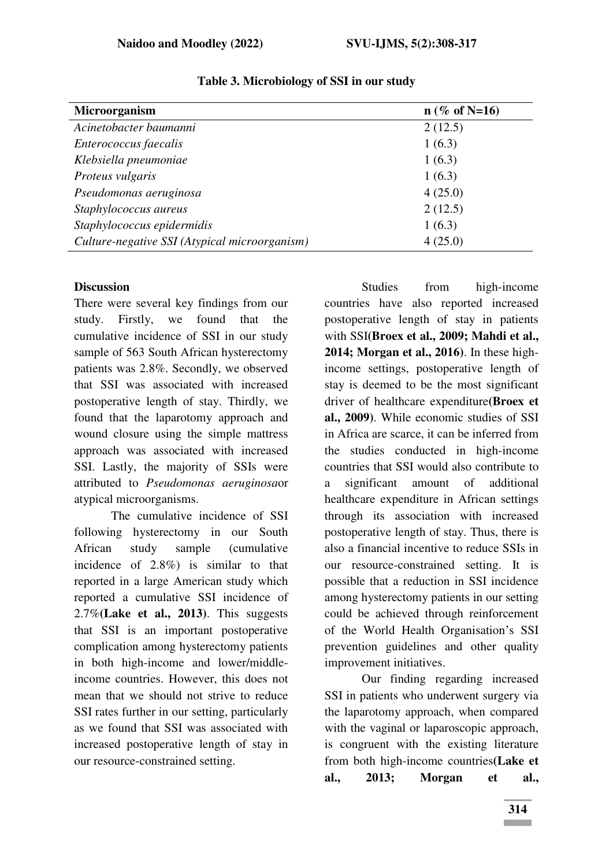| Microorganism                                 | $n$ (% of N=16) |
|-----------------------------------------------|-----------------|
| Acinetobacter baumanni                        | 2(12.5)         |
| Enterococcus faecalis                         | 1(6.3)          |
| Klebsiella pneumoniae                         | 1(6.3)          |
| Proteus vulgaris                              | 1(6.3)          |
| Pseudomonas aeruginosa                        | 4(25.0)         |
| Staphylococcus aureus                         | 2(12.5)         |
| Staphylococcus epidermidis                    | 1(6.3)          |
| Culture-negative SSI (Atypical microorganism) | 4(25.0)         |

## **Table 3. Microbiology of SSI in our study**

#### **Discussion**

There were several key findings from our study. Firstly, we found that the cumulative incidence of SSI in our study sample of 563 South African hysterectomy patients was 2.8%. Secondly, we observed that SSI was associated with increased postoperative length of stay. Thirdly, we found that the laparotomy approach and wound closure using the simple mattress approach was associated with increased SSI. Lastly, the majority of SSIs were attributed to *Pseudomonas aeruginosa*or atypical microorganisms.

The cumulative incidence of SSI following hysterectomy in our South African study sample (cumulative incidence of 2.8%) is similar to that reported in a large American study which reported a cumulative SSI incidence of 2.7%**(Lake et al., 2013)**. This suggests that SSI is an important postoperative complication among hysterectomy patients in both high-income and lower/middleincome countries. However, this does not mean that we should not strive to reduce SSI rates further in our setting, particularly as we found that SSI was associated with increased postoperative length of stay in our resource-constrained setting.

Studies from high-income countries have also reported increased postoperative length of stay in patients with SSI**(Broex et al., 2009; Mahdi et al., 2014; Morgan et al., 2016)**. In these highincome settings, postoperative length of stay is deemed to be the most significant driver of healthcare expenditure**(Broex et al., 2009)**. While economic studies of SSI in Africa are scarce, it can be inferred from the studies conducted in high-income countries that SSI would also contribute to a significant amount of additional healthcare expenditure in African settings through its association with increased postoperative length of stay. Thus, there is also a financial incentive to reduce SSIs in our resource-constrained setting. It is possible that a reduction in SSI incidence among hysterectomy patients in our setting could be achieved through reinforcement of the World Health Organisation's SSI prevention guidelines and other quality improvement initiatives.

Our finding regarding increased SSI in patients who underwent surgery via the laparotomy approach, when compared with the vaginal or laparoscopic approach, is congruent with the existing literature from both high-income countries**(Lake et al., 2013; Morgan et al.,**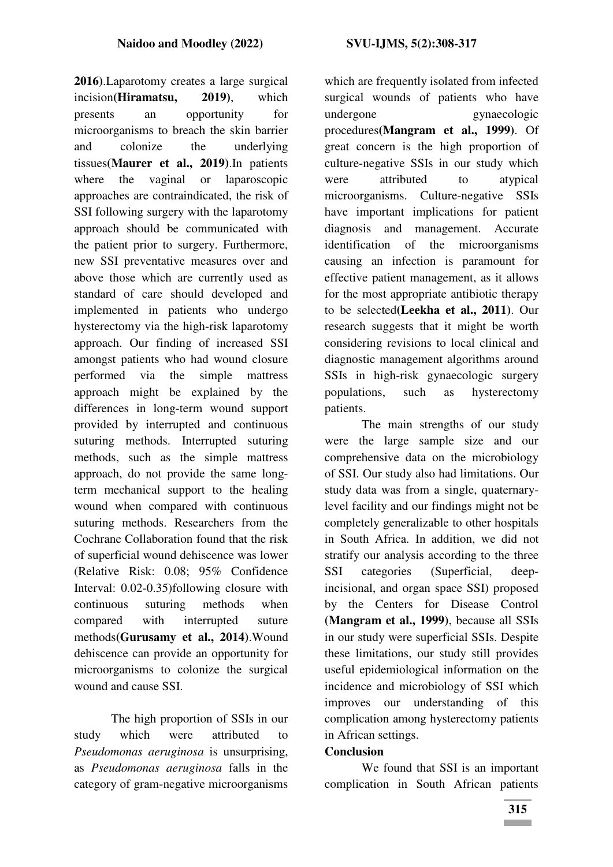**2016)**.Laparotomy creates a large surgical incision**(Hiramatsu, 2019)**, which presents an opportunity for microorganisms to breach the skin barrier and colonize the underlying tissues**(Maurer et al., 2019)**.In patients where the vaginal or laparoscopic approaches are contraindicated, the risk of SSI following surgery with the laparotomy approach should be communicated with the patient prior to surgery. Furthermore, new SSI preventative measures over and above those which are currently used as standard of care should developed and implemented in patients who undergo hysterectomy via the high-risk laparotomy approach. Our finding of increased SSI amongst patients who had wound closure performed via the simple mattress approach might be explained by the differences in long-term wound support provided by interrupted and continuous suturing methods. Interrupted suturing methods, such as the simple mattress approach, do not provide the same longterm mechanical support to the healing wound when compared with continuous suturing methods. Researchers from the Cochrane Collaboration found that the risk of superficial wound dehiscence was lower (Relative Risk: 0.08; 95% Confidence Interval: 0.02-0.35)following closure with continuous suturing methods when compared with interrupted suture methods**(Gurusamy et al., 2014)**.Wound dehiscence can provide an opportunity for microorganisms to colonize the surgical wound and cause SSI.

The high proportion of SSIs in our study which were attributed to *Pseudomonas aeruginosa* is unsurprising, as *Pseudomonas aeruginosa* falls in the category of gram-negative microorganisms

which are frequently isolated from infected surgical wounds of patients who have undergone gynaecologic procedures**(Mangram et al., 1999)**. Of great concern is the high proportion of culture-negative SSIs in our study which were attributed to atypical microorganisms. Culture-negative SSIs have important implications for patient diagnosis and management. Accurate identification of the microorganisms causing an infection is paramount for effective patient management, as it allows for the most appropriate antibiotic therapy to be selected**(Leekha et al., 2011)**. Our research suggests that it might be worth considering revisions to local clinical and diagnostic management algorithms around SSIs in high-risk gynaecologic surgery populations, such as hysterectomy patients.

The main strengths of our study were the large sample size and our comprehensive data on the microbiology of SSI. Our study also had limitations. Our study data was from a single, quaternarylevel facility and our findings might not be completely generalizable to other hospitals in South Africa. In addition, we did not stratify our analysis according to the three SSI categories (Superficial, deepincisional, and organ space SSI) proposed by the Centers for Disease Control **(Mangram et al., 1999)**, because all SSIs in our study were superficial SSIs. Despite these limitations, our study still provides useful epidemiological information on the incidence and microbiology of SSI which improves our understanding of this complication among hysterectomy patients in African settings.

# **Conclusion**

We found that SSI is an important complication in South African patients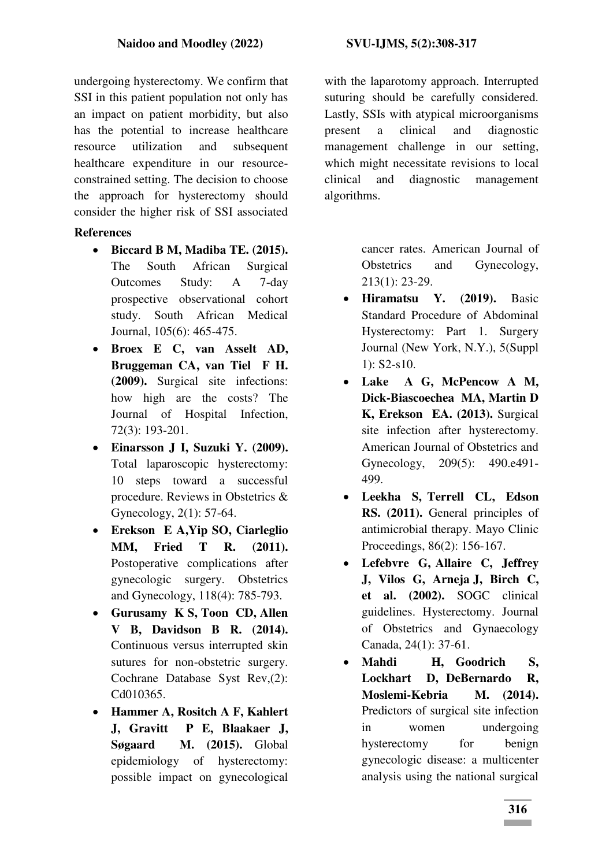undergoing hysterectomy. We confirm that SSI in this patient population not only has an impact on patient morbidity, but also has the potential to increase healthcare resource utilization and subsequent healthcare expenditure in our resourceconstrained setting. The decision to choose the approach for hysterectomy should consider the higher risk of SSI associated

# **References**

- **Biccard B M, Madiba TE. (2015).** The South African Surgical Outcomes Study: A 7-day prospective observational cohort study. South African Medical Journal, 105(6): 465-475.
- **Broex E C, van Asselt AD, Bruggeman CA, van Tiel F H. (2009).** Surgical site infections: how high are the costs? The Journal of Hospital Infection, 72(3): 193-201.
- **Einarsson J I, Suzuki Y. (2009).** Total laparoscopic hysterectomy: 10 steps toward a successful procedure. Reviews in Obstetrics & Gynecology, 2(1): 57-64.
- **Erekson E A,Yip SO, Ciarleglio MM, Fried T R. (2011).** Postoperative complications after gynecologic surgery. Obstetrics and Gynecology, 118(4): 785-793.
- **Gurusamy K S, Toon CD, Allen V B, Davidson B R. (2014).** Continuous versus interrupted skin sutures for non-obstetric surgery. Cochrane Database Syst Rev,(2): Cd010365.
- **Hammer A, Rositch A F, Kahlert J, Gravitt P E, Blaakaer J, Søgaard M. (2015).** Global epidemiology of hysterectomy: possible impact on gynecological

with the laparotomy approach. Interrupted suturing should be carefully considered. Lastly, SSIs with atypical microorganisms present a clinical and diagnostic management challenge in our setting, which might necessitate revisions to local clinical and diagnostic management algorithms.

> cancer rates. American Journal of Obstetrics and Gynecology, 213(1): 23-29.

- **Hiramatsu Y. (2019).** Basic Standard Procedure of Abdominal Hysterectomy: Part 1. Surgery Journal (New York, N.Y.), 5(Suppl 1): S2-s10.
- **Lake A G, McPencow A M, Dick-Biascoechea MA, Martin D K, Erekson EA. (2013).** Surgical site infection after hysterectomy. American Journal of Obstetrics and Gynecology, 209(5): 490.e491- 499.
- **Leekha S, Terrell CL, Edson RS. (2011).** General principles of antimicrobial therapy. Mayo Clinic Proceedings, 86(2): 156-167.
- **Lefebvre G, Allaire C, Jeffrey J, Vilos G, Arneja J, Birch C, et al. (2002).** SOGC clinical guidelines. Hysterectomy. Journal of Obstetrics and Gynaecology Canada, 24(1): 37-61.
- **Mahdi H, Goodrich S, Lockhart D, DeBernardo R, Moslemi-Kebria M. (2014).** Predictors of surgical site infection in women undergoing hysterectomy for benign gynecologic disease: a multicenter analysis using the national surgical